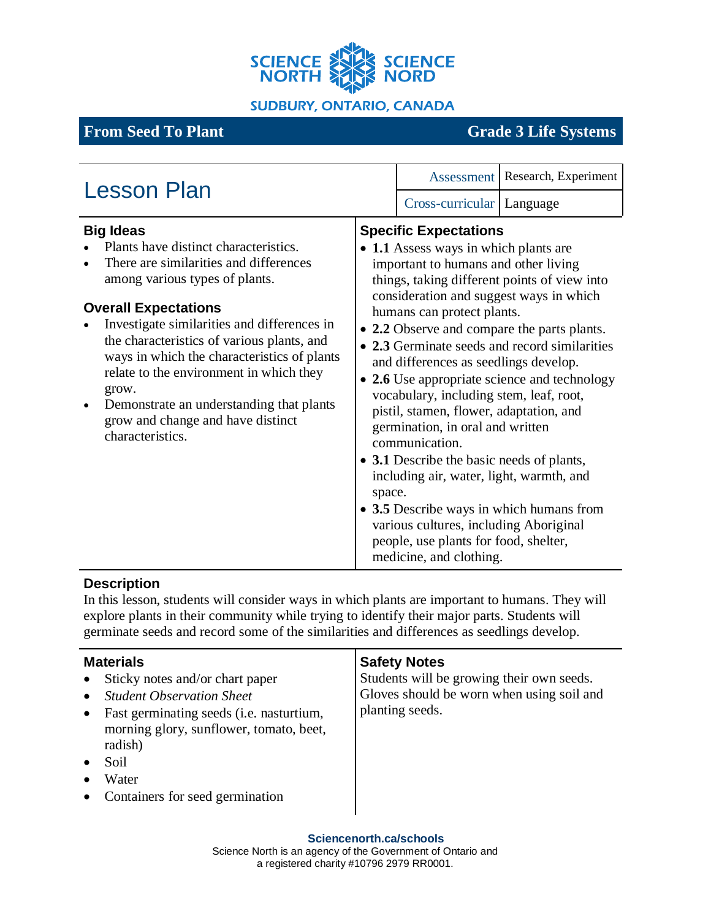

**SUDBURY, ONTARIO, CANADA** 

# **From Seed To Plant** Grade 3 Life Systems

| <b>Lesson Plan</b>                                                                                                                                                                                                                                                                                                                                                                                                                                                                     |        | Assessment                                                                                                                                                                                                                                                                                                                                                                                                                                                                                                                                                                         | Research, Experiment                                                                                                                                                                                                                     |
|----------------------------------------------------------------------------------------------------------------------------------------------------------------------------------------------------------------------------------------------------------------------------------------------------------------------------------------------------------------------------------------------------------------------------------------------------------------------------------------|--------|------------------------------------------------------------------------------------------------------------------------------------------------------------------------------------------------------------------------------------------------------------------------------------------------------------------------------------------------------------------------------------------------------------------------------------------------------------------------------------------------------------------------------------------------------------------------------------|------------------------------------------------------------------------------------------------------------------------------------------------------------------------------------------------------------------------------------------|
|                                                                                                                                                                                                                                                                                                                                                                                                                                                                                        |        | Cross-curricular   Language                                                                                                                                                                                                                                                                                                                                                                                                                                                                                                                                                        |                                                                                                                                                                                                                                          |
| <b>Big Ideas</b><br>Plants have distinct characteristics.<br>There are similarities and differences<br>among various types of plants.<br><b>Overall Expectations</b><br>Investigate similarities and differences in<br>the characteristics of various plants, and<br>ways in which the characteristics of plants<br>relate to the environment in which they<br>grow.<br>Demonstrate an understanding that plants<br>$\bullet$<br>grow and change and have distinct<br>characteristics. | space. | <b>Specific Expectations</b><br>• 1.1 Assess ways in which plants are<br>important to humans and other living<br>consideration and suggest ways in which<br>humans can protect plants.<br>and differences as seedlings develop.<br>vocabulary, including stem, leaf, root,<br>pistil, stamen, flower, adaptation, and<br>germination, in oral and written<br>communication.<br>• 3.1 Describe the basic needs of plants,<br>including air, water, light, warmth, and<br>various cultures, including Aboriginal<br>people, use plants for food, shelter,<br>medicine, and clothing. | things, taking different points of view into<br>• 2.2 Observe and compare the parts plants.<br>• 2.3 Germinate seeds and record similarities<br>• 2.6 Use appropriate science and technology<br>• 3.5 Describe ways in which humans from |

## **Description**

In this lesson, students will consider ways in which plants are important to humans. They will explore plants in their community while trying to identify their major parts. Students will germinate seeds and record some of the similarities and differences as seedlings develop.

| <b>Materials</b>                                                                                                                                                                                                          | <b>Safety Notes</b>                                                                                       |
|---------------------------------------------------------------------------------------------------------------------------------------------------------------------------------------------------------------------------|-----------------------------------------------------------------------------------------------------------|
| Sticky notes and/or chart paper<br><b>Student Observation Sheet</b><br>Fast germinating seeds (i.e. nasturtium,<br>morning glory, sunflower, tomato, beet,<br>radish)<br>Soil<br>Water<br>Containers for seed germination | Students will be growing their own seeds.<br>Gloves should be worn when using soil and<br>planting seeds. |

#### **Sciencenorth.ca/schools**